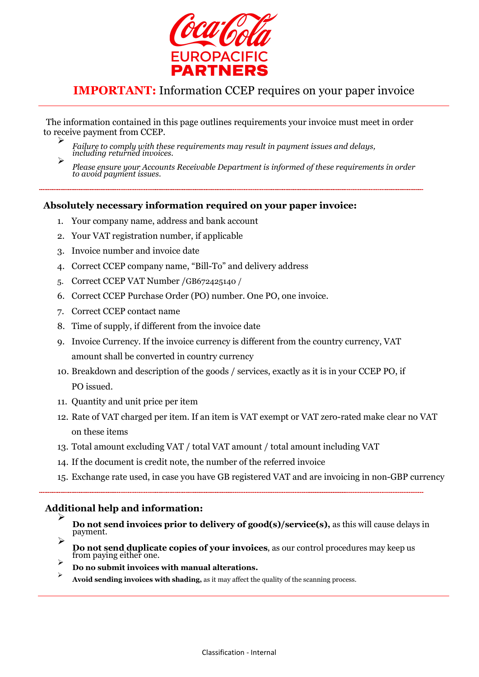

## IMPORTANT: Information CCEP requires on your paper invoice

The information contained in this page outlines requirements your invoice must meet in order to receive payment from CCEP.

 $\blacktriangleright$ Failure to comply with these requirements may result in payment issues and delays, including returned invoices.

## Absolutely necessary information required on your paper invoice:

- 1. Your company name, address and bank account
- 2. Your VAT registration number, if applicable
- 3. Invoice number and invoice date
- 4. Correct CCEP company name, "Bill-To" and delivery address
- 5. Correct CCEP VAT Number /GB672425140 /
- 6. Correct CCEP Purchase Order (PO) number. One PO, one invoice.
- 7. Correct CCEP contact name
- 8. Time of supply, if different from the invoice date
- 9. Invoice Currency. If the invoice currency is different from the country currency, VAT amount shall be converted in country currency
- 10. Breakdown and description of the goods / services, exactly as it is in your CCEP PO, if PO issued.
- 11. Quantity and unit price per item
- 12. Rate of VAT charged per item. If an item is VAT exempt or VAT zero-rated make clear no VAT on these items
- 13. Total amount excluding VAT / total VAT amount / total amount including VAT
- 14. If the document is credit note, the number of the referred invoice
- 15. Exchange rate used, in case you have GB registered VAT and are invoicing in non-GBP currency

## Additional help and information:

- $\blacktriangleright$ Do not send invoices prior to delivery of good(s)/service(s), as this will cause delays in payment.  $\triangleright$
- Do not send duplicate copies of your invoices, as our control procedures may keep us from paying either one.  $\triangleright$
- Do no submit invoices with manual alterations.
- $\blacktriangleright$ Avoid sending invoices with shading, as it may affect the quality of the scanning process.

 $\triangleright$ Please ensure your Accounts Receivable Department is informed of these requirements in order to avoid payment issues.